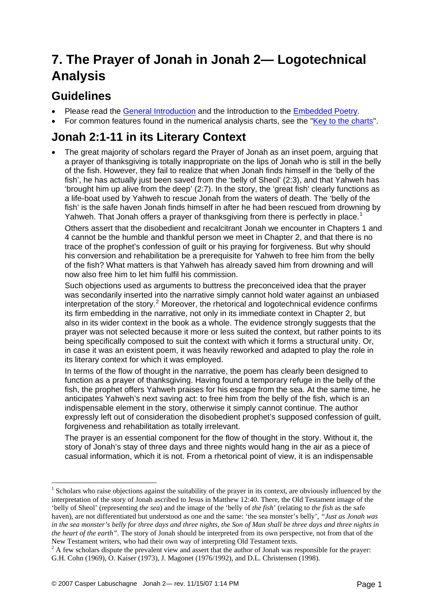# **7. The Prayer of Jonah in Jonah 2— Logotechnical Analysis**

## **Guidelines**

1

- Please read the [General Introduction](http://www.labuschagne.nl/aspects.pdf) and the Introduction to the [Embedded Poetry.](http://www.labuschagne.nl/intro.embed.pdf)
- For common features found in the numerical analysis charts, see the "[Key to the charts](http://www.labuschagne.nl/keytocharts.pdf)".

### **Jonah 2:1-11 in its Literary Context**

• The great majority of scholars regard the Prayer of Jonah as an inset poem, arguing that a prayer of thanksgiving is totally inappropriate on the lips of Jonah who is still in the belly of the fish. However, they fail to realize that when Jonah finds himself in the 'belly of the fish', he has actually just been saved from the 'belly of Sheol' (2:3), and that Yahweh has 'brought him up alive from the deep' (2:7). In the story, the 'great fish' clearly functions as a life-boat used by Yahweh to rescue Jonah from the waters of death. The 'belly of the fish' is the safe haven Jonah finds himself in after he had been rescued from drowning by Yahweh. That Jonah offers a prayer of thanksgiving from there is perfectly in place.<sup>[1](#page-0-0)</sup>

Others assert that the disobedient and recalcitrant Jonah we encounter in Chapters 1 and 4 cannot be the humble and thankful person we meet in Chapter 2, and that there is no trace of the prophet's confession of guilt or his praying for forgiveness. But why should his conversion and rehabilitation be a prerequisite for Yahweh to free him from the belly of the fish? What matters is that Yahweh has already saved him from drowning and will now also free him to let him fulfil his commission.

Such objections used as arguments to buttress the preconceived idea that the prayer was secondarily inserted into the narrative simply cannot hold water against an unbiased interpretation of the story.<sup>[2](#page-0-1)</sup> Moreover, the rhetorical and logotechnical evidence confirms its firm embedding in the narrative, not only in its immediate context in Chapter 2, but also in its wider context in the book as a whole. The evidence strongly suggests that the prayer was not selected because it more or less suited the context, but rather points to its being specifically composed to suit the context with which it forms a structural unity. Or, in case it was an existent poem, it was heavily reworked and adapted to play the role in its literary context for which it was employed.

In terms of the flow of thought in the narrative, the poem has clearly been designed to function as a prayer of thanksgiving. Having found a temporary refuge in the belly of the fish, the prophet offers Yahweh praises for his escape from the sea. At the same time, he anticipates Yahweh's next saving act: to free him from the belly of the fish, which is an indispensable element in the story, otherwise it simply cannot continue. The author expressly left out of consideration the disobedient prophet's supposed confession of guilt, forgiveness and rehabilitation as totally irrelevant.

The prayer is an essential component for the flow of thought in the story. Without it, the story of Jonah's stay of three days and three nights would hang in the air as a piece of casual information, which it is not. From a rhetorical point of view, it is an indispensable

<span id="page-0-0"></span><sup>&</sup>lt;sup>1</sup> Scholars who raise objections against the suitability of the prayer in its context, are obviously influenced by the interpretation of the story of Jonah ascribed to Jesus in Matthew 12:40. There, the Old Testament image of the 'belly of Sheol' (representing *the sea*) and the image of the 'belly of *the fish*' (relating to *the fish* as the safe haven), are not differentiated but understood as one and the same: 'the sea monster's belly', *"Just as Jonah was in the sea monster's belly for three days and three nights, the Son of Man shall be three days and three nights in the heart of the earth"*. The story of Jonah should be interpreted from its own perspective, not from that of the New Testament writers, who had their own way of interpreting Old Testament texts. 2

<span id="page-0-1"></span> $<sup>2</sup>$  A few scholars dispute the prevalent view and assert that the author of Jonah was responsible for the prayer:</sup> G.H. Cohn (1969), O. Kaiser (1973), J. Magonet (1976/1992), and D.L. Christensen (1998).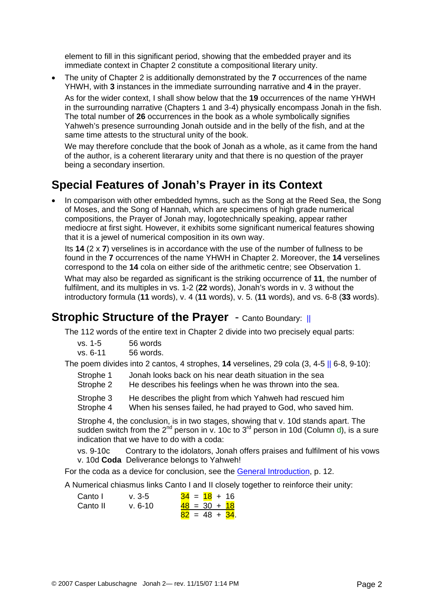element to fill in this significant period, showing that the embedded prayer and its immediate context in Chapter 2 constitute a compositional literary unity.

• The unity of Chapter 2 is additionally demonstrated by the **7** occurrences of the name YHWH, with **3** instances in the immediate surrounding narrative and **4** in the prayer.

As for the wider context, I shall show below that the **19** occurrences of the name YHWH in the surrounding narrative (Chapters 1 and 3-4) physically encompass Jonah in the fish. The total number of **26** occurrences in the book as a whole symbolically signifies Yahweh's presence surrounding Jonah outside and in the belly of the fish, and at the same time attests to the structural unity of the book.

We may therefore conclude that the book of Jonah as a whole, as it came from the hand of the author, is a coherent literarary unity and that there is no question of the prayer being a secondary insertion.

### **Special Features of Jonah's Prayer in its Context**

• In comparison with other embedded hymns, such as the Song at the Reed Sea, the Song of Moses, and the Song of Hannah, which are specimens of high grade numerical compositions, the Prayer of Jonah may, logotechnically speaking, appear rather mediocre at first sight. However, it exhibits some significant numerical features showing that it is a jewel of numerical composition in its own way.

Its **14** (2 x **7**) verselines is in accordance with the use of the number of fullness to be found in the **7** occurrences of the name YHWH in Chapter 2. Moreover, the **14** verselines correspond to the **14** cola on either side of the arithmetic centre; see Observation 1. What may also be regarded as significant is the striking occurrence of **11**, the number of fulfilment, and its multiples in vs. 1-2 (**22** words), Jonah's words in v. 3 without the introductory formula (**11** words), v. 4 (**11** words), v. 5. (**11** words), and vs. 6-8 (**33** words).

#### **Strophic Structure of the Praver** - Canto Boundary: ||

The 112 words of the entire text in Chapter 2 divide into two precisely equal parts:

| $vs. 1-5$ | 56 words |
|-----------|----------|
|           | - -      |

vs. 6-11 56 words.

The poem divides into 2 cantos, 4 strophes, **14** verselines, 29 cola (3, 4-5 || 6-8, 9-10):

- Strophe 1 Jonah looks back on his near death situation in the sea
- Strophe 2 He describes his feelings when he was thrown into the sea.

Strophe 3 He describes the plight from which Yahweh had rescued him

Strophe 4 When his senses failed, he had prayed to God, who saved him.

Strophe 4, the conclusion, is in two stages, showing that v. 10d stands apart. The sudden switch from the  $2<sup>nd</sup>$  person in v. 10c to  $3<sup>rd</sup>$  person in 10d (Column d), is a sure indication that we have to do with a coda:

 vs. 9-10c Contrary to the idolators, Jonah offers praises and fulfilment of his vows v. 10d **Coda** Deliverance belongs to Yahweh!

For the coda as a device for conclusion, see the [General Introduction](http://www.labuschagne.nl/aspects.pdf), p. 12.

A Numerical chiasmus links Canto I and II closely together to reinforce their unity:

| Canto I  | $v. 3-5$   | $34 = 18 + 16$           |
|----------|------------|--------------------------|
| Canto II | $v.6 - 10$ | $\frac{48}{5}$ = 30 + 18 |
|          |            | $82 = 48 + 34$           |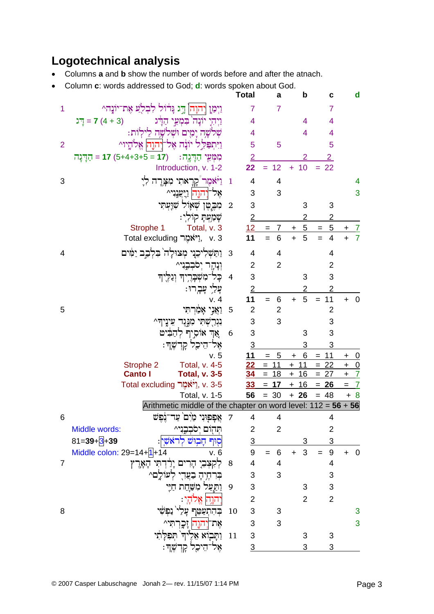### **Logotechnical analysis**

- Columns **a** and **b** show the number of words before and after the atnach.
- Column c: words addressed to God: d: words spoken about God.

|                |                                                                                                 |                | <b>Total</b>    | a                                   | b                      | C                       | d                            |
|----------------|-------------------------------------------------------------------------------------------------|----------------|-----------------|-------------------------------------|------------------------|-------------------------|------------------------------|
| 1              | וַיְמַן וְהוָה  דְּג נִּדֹוֹל לִבְלֹֻעַ אֶת־יוֹנַה^                                             |                | 7               | $\overline{7}$                      |                        | $\overline{7}$          |                              |
|                | $\Gamma = 7(4 + 3)$<br>וַיִּהְיָ יוֹנָה בִּמְעֵי הַדָּג                                         |                | 4               |                                     | 4                      | $\overline{4}$          |                              |
|                | שלשָה יָמִים וּשִׁלשָה לֵילִוֹת:                                                                |                | 4               |                                     | 4                      | 4                       |                              |
| $\overline{2}$ | וַיִּתִפְלֵל יוֹנֵה אֱל־יָהוַה אֱלֹהֵיו^                                                        |                | 5               | 5                                   |                        | 5                       |                              |
|                | הַדְּנֵה = 17 (5+4+3+5 = 17)<br>מִמְעֵי הַדָּנֶה:                                               |                | $\overline{2}$  |                                     | 2                      | $\overline{2}$          |                              |
|                | Introduction, v. 1-2                                                                            |                | 22              | 12<br>Ξ                             | 10<br>$+$              | 22<br>$=$               |                              |
| 3              | וַיֹּאמֶר קָרָאתִי מִצְרֶה לִיָ                                                                 | $\mathbf{1}$   | 4               | 4                                   |                        |                         | 4                            |
|                | אֵל־יִהוֶה  וַיִּעֲנִי^                                                                         |                | 3               | 3                                   |                        |                         | 3                            |
|                | מִבֶטֶן שְׁאָוֹל שָׁוַעְתִּי                                                                    | $\overline{2}$ | 3               |                                     | 3                      | 3                       |                              |
|                | שְׁמַעְתָּ קוֹלְי:                                                                              |                | $\overline{2}$  |                                     |                        | 2                       |                              |
|                | Total, v. 3<br>Strophe 1                                                                        |                | 12              | $\overline{7}$<br>$\qquad \qquad =$ | $5\overline{)}$<br>$+$ | <u>5</u><br>$\equiv$    | $\mathcal{I}$                |
|                | y. 3 יאבֶזר Total excluding                                                                     |                | 11              | $=$<br>6                            | $\ddotmark$<br>5       | $\overline{4}$<br>$=$   | $\ddot{+}$<br>$\overline{7}$ |
| 4              | וַתַּשְׁלִיכִנִי מְצוּלָה בִּלְבָב יַמִּים                                                      | 3              | 4               | 4                                   |                        | 4                       |                              |
|                | וִנְהֶר יְסִבְבֶנִי^                                                                            |                | $\overline{2}$  | $\overline{2}$                      |                        | $\overline{2}$          |                              |
|                | כָּל־מִשְׁבָרֶיךָ וְנַלֶּיךָ                                                                    | $\overline{4}$ | 3               |                                     | 3                      | 3                       |                              |
|                | עָלַיִ עָבְרוּ:                                                                                 |                | $\overline{2}$  |                                     | 2                      | $\overline{2}$          |                              |
|                | v.4                                                                                             |                | 11              | 6                                   | 5<br>$\ddot{}$         | 11                      | $\mathbf 0$<br>$\ddot{}$     |
| 5              | וַאֲנְי אָמַרִתִּי                                                                              | 5              | $\overline{2}$  | $\mathbf{2}$                        |                        | $\overline{2}$          |                              |
|                | נִגְרַשְׁתִּי מִגְּגֶד עֵינֶיךְ~                                                                |                | 3               | 3                                   |                        | 3                       |                              |
|                | אֲךְ אוֹסְיִף לְהַבִּיט                                                                         | 6              | 3               |                                     | 3                      | 3                       |                              |
|                | אָל־הִיכָל קָדְשֶׁךָ:                                                                           |                | $\overline{3}$  |                                     | 3                      | 3                       |                              |
|                | v.5                                                                                             |                | 11              | 5<br>$=$                            | 6<br>÷                 | 11<br>$=$               | $\ddagger$<br><u>0</u>       |
|                | Strophe 2<br>Total, v. 4-5                                                                      |                | <u> 22</u>      | 11<br>$=$                           | 11<br>$\ddot{}$        | $= 22$                  | $\frac{0}{7}$<br>$\pm$       |
|                | <b>Canto I</b><br><b>Total, v. 3-5</b>                                                          |                | $\overline{34}$ | 18<br>$=$                           | 16<br>$\ddot{}$        | $= 27$                  | $+$                          |
|                | r. 3-5. אֲלֶאֶר Total excluding                                                                 |                | <u>33</u>       | $= 17$                              | $+$ 16                 | $= 26$                  | $\overline{I}$<br>$\equiv$   |
|                | Total, v. 1-5                                                                                   |                | 56              | $= 30$                              | $+26$                  | $= 48$                  | $+8$                         |
| 6              | Arithmetic middle of the chapter on word level: $112 = 56 + 56$<br>4 7 אַפִפוּני מֹים עד־נֹפּשׁ |                |                 | $\overline{4}$                      |                        | 4                       |                              |
|                | Middle words:<br>תהום יסבבני^                                                                   |                | $\overline{2}$  | $\overline{2}$                      |                        | $\overline{2}$          |                              |
|                | $81 = 39 + 3 + 39$<br>סֶוּף חַבוּשׁ ל<br>ראשי:                                                  |                | $\overline{3}$  |                                     | 3                      | 3                       |                              |
|                | Middle colon: $29=14+1+14$<br>v. 6                                                              |                | 9               | $\,6$<br>$=$                        | 3<br>$+$               | $\boldsymbol{9}$<br>$=$ | 0<br>$\ddot{}$               |
| 7              | הַרִים יְרַדְתִּי הָאָרֶץ                                                                       | 8              | 4               | 4                                   |                        | 4                       |                              |
|                | לְעוֹלֶם^                                                                                       |                | 3               | 3                                   |                        | 3                       |                              |
|                | וַתַּעַל מִשָּׁחַת חַיֵּי                                                                       | 9              | 3               |                                     | 3                      | 3                       |                              |
|                | הוה א                                                                                           |                | $\overline{2}$  |                                     | $\overline{2}$         | $\overline{2}$          |                              |
| 8              | בהתעַטֵּף                                                                                       | 10             | 3               | 3                                   |                        |                         | 3                            |
|                | את־יהוה                                                                                         |                | 3               | 3                                   |                        |                         | 3                            |
|                | ותבוא אליד                                                                                      | 11             | 3               |                                     | 3                      | 3                       |                              |
|                | ּהֵיכָל קְדְשֶׁךָ׃                                                                              |                | $\overline{3}$  |                                     | 3                      | 3                       |                              |
|                |                                                                                                 |                |                 |                                     |                        |                         |                              |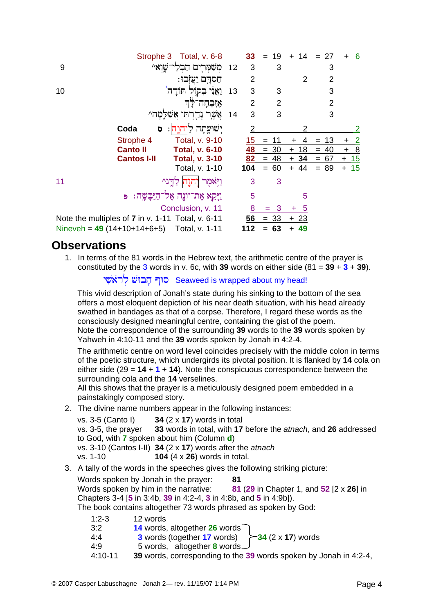|                                                   |                    | Strophe 3 Total, v. 6-8 |    | 33  | 19<br>$=$      | -14<br>$\div$ | -27<br>$=$     | -6              |
|---------------------------------------------------|--------------------|-------------------------|----|-----|----------------|---------------|----------------|-----------------|
| 9                                                 |                    | משמרים ה                | 12 | 3   | 3              |               | 3              |                 |
|                                                   |                    | חסדם יעזבו:             |    | 2   |                | 2             | $\overline{2}$ |                 |
| 10                                                |                    | ַבְקול תּודַה           | 13 | 3   | 3              |               | 3              |                 |
|                                                   |                    | אזבחה                   |    | 2   | $\overline{2}$ |               | $\overline{2}$ |                 |
|                                                   |                    | אַשֶּׁר נְדֻרְתִּי      | 14 | 3   | 3              |               | 3              |                 |
|                                                   | Coda<br>ō          | ישועתה<br>תנה:          |    |     |                |               |                | 2               |
|                                                   | Strophe 4          | Total, v. 9-10          |    | 15  |                |               | 13             | ÷               |
|                                                   | <b>Canto II</b>    | <b>Total, v. 6-10</b>   |    | 48  | -30<br>$=$     | 18<br>÷       | 40<br>$=$      | 8<br>$\ddot{}$  |
|                                                   | <b>Cantos I-II</b> | <b>Total, v. 3-10</b>   |    | 82  | -48<br>$=$     | $+34$         | 67<br>$=$      | $+ 15$          |
|                                                   |                    | Total, v. 1-10          |    | 104 | 60<br>$=$      | 44<br>$+$     | 89<br>$=$      | 15<br>$\ddot{}$ |
| 11                                                |                    | וַיִּאמִר               |    | 3   | 3              |               |                |                 |
|                                                   | Ð                  | וַיְּקֵא אֶת־יוֹנֶה אֶל |    | 5   |                | 5             |                |                 |
|                                                   |                    | Conclusion, v. 11       |    | 8   |                | 5<br>٠        |                |                 |
| Note the multiples of 7 in v. 1-11 Total, v. 6-11 |                    |                         |    | 56  | -33<br>$=$     | $+23$         |                |                 |
| Nineveh = $49(14+10+14+6+5)$                      |                    | Total, v. 1-11          |    | 112 | 63             | 49            |                |                 |

#### **Observations**

1. In terms of the 81 words in the Hebrew text, the arithmetic centre of the prayer is constituted by the 3 words in v. 6c, with 39 words on either side  $(81 = 39 + 3 + 39)$ .

יִרְאֹשִׁי Seaweed is wrapped about my head!

This vivid description of Jonah's state during his sinking to the bottom of the sea offers a most eloquent depiction of his near death situation, with his head already swathed in bandages as that of a corpse. Therefore, I regard these words as the consciously designed meaningful centre, containing the gist of the poem. Note the correspondence of the surrounding **39** words to the **39** words spoken by Yahweh in 4:10-11 and the **39** words spoken by Jonah in 4:2-4.

The arithmetic centre on word level coincides precisely with the middle colon in terms of the poetic structure, which undergirds its pivotal position. It is flanked by **14** cola on either side (29 = **14** + **1** + **14**). Note the conspicuous correspondence between the surrounding cola and the **14** verselines.

All this shows that the prayer is a meticulously designed poem embedded in a painstakingly composed story.

2. The divine name numbers appear in the following instances:

vs. 3-5 (Canto I) **34** (2 x **17**) words in total vs. 3-5, the prayer **33** words in total, with **17** before the *atnach*, and **26** addressed to God, with **7** spoken about him (Column **d**) vs. 3-10 (Cantos I-II) **34** (2 x **17**) words after the *atnach* vs. 1-10 **104** (4 x **26**) words in total.

3. A tally of the words in the speeches gives the following striking picture: Words spoken by Jonah in the prayer: **81**  Words spoken by him in the narrative: **81** (**29** in Chapter 1, and **52** [2 x **26**] in Chapters 3-4 [**5** in 3:4b, **39** in 4:2-4, **3** in 4:8b, and **5** in 4:9b]). The book contains altogether 73 words phrased as spoken by God:

| $1:2-3$     | 12 words                                                          |
|-------------|-------------------------------------------------------------------|
| 3:2         | 14 words, altogether 26 words                                     |
| 4:4         | 3 words (together 17 words)<br>$\rightarrow$ 34 (2 x 17) words    |
| 4:9         | 5 words, altogether 8 words $\cup$                                |
| $4:10 - 11$ | 39 words, corresponding to the 39 words spoken by Jonah in 4:2-4, |
|             |                                                                   |